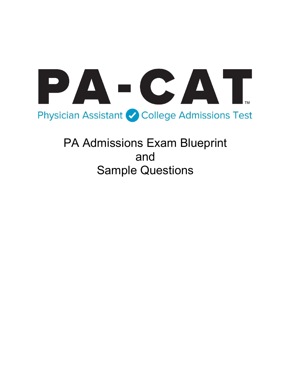

PA Admissions Exam Blueprint and Sample Questions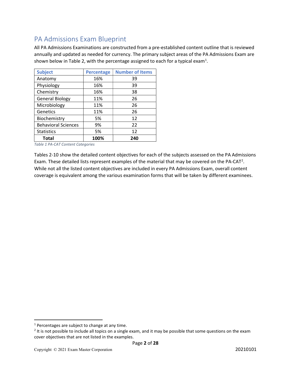# PA Admissions Exam Blueprint

All PA Admissions Examinations are constructed from a pre-established content outline that is reviewed annually and updated as needed for currency. The primary subject areas of the PA Admissions Exam are shown below in Table 2, with the percentage assigned to each for a typical exam<sup>1</sup>.

| <b>Subject</b>             | <b>Percentage</b> | <b>Number of Items</b> |
|----------------------------|-------------------|------------------------|
| Anatomy                    | 16%               | 39                     |
| Physiology                 | 16%               | 39                     |
| Chemistry                  | 16%               | 38                     |
| <b>General Biology</b>     | 11%               | 26                     |
| Microbiology               | 11%               | 26                     |
| Genetics                   | 11%               | 26                     |
| Biochemistry               | 5%                | 12                     |
| <b>Behavioral Sciences</b> | 9%                | 22                     |
| <b>Statistics</b>          | 5%                | 12                     |
| <b>Total</b>               | 100%              | 240                    |

Table 1 PA-CAT Content Categories

Tables 2-10 show the detailed content objectives for each of the subjects assessed on the PA Admissions Exam. These detailed lists represent examples of the material that may be covered on the PA-CAT<sup>2</sup>. While not all the listed content objectives are included in every PA Admissions Exam, overall content coverage is equivalent among the various examination forms that will be taken by different examinees.

 $1$  Percentages are subject to change at any time.

 $2$  It is not possible to include all topics on a single exam, and it may be possible that some questions on the exam cover objectives that are not listed in the examples.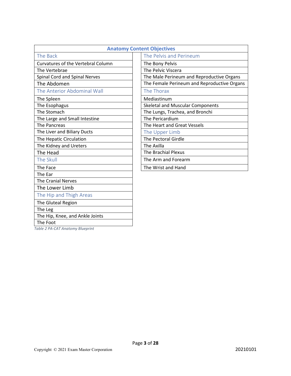| <b>Anatomy Content Objectives</b>         |                                             |
|-------------------------------------------|---------------------------------------------|
| The Back                                  | The Pelvis and Perineum                     |
| <b>Curvatures of the Vertebral Column</b> | The Bony Pelvis                             |
| The Vertebrae                             | The Pelvic Viscera                          |
| Spinal Cord and Spinal Nerves             | The Male Perineum and Reproductive Organs   |
| The Abdomen                               | The Female Perineum and Reproductive Organs |
| The Anterior Abdominal Wall               | The Thorax                                  |
| The Spleen                                | Mediastinum                                 |
| The Esophagus                             | <b>Skeletal and Muscular Components</b>     |
| The Stomach                               | The Lungs, Trachea, and Bronchi             |
| The Large and Small Intestine             | The Pericardium                             |
| The Pancreas                              | The Heart and Great Vessels                 |
| The Liver and Biliary Ducts               | The Upper Limb                              |
| The Hepatic Circulation                   | <b>The Pectoral Girdle</b>                  |
| The Kidney and Ureters                    | The Axilla                                  |
| The Head                                  | <b>The Brachial Plexus</b>                  |
| The Skull                                 | The Arm and Forearm                         |
| The Face                                  | The Wrist and Hand                          |
| The Ear                                   |                                             |
| <b>The Cranial Nerves</b>                 |                                             |
| The Lower Limb                            |                                             |
| The Hip and Thigh Areas                   |                                             |
| The Gluteal Region                        |                                             |
| The Leg                                   |                                             |
| The Hip, Knee, and Ankle Joints           |                                             |

The Foot

Table 2 PA-CAT Anatomy Blueprint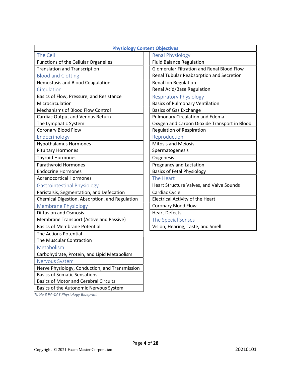|                                                | <b>Physiology Content Objectives</b>              |
|------------------------------------------------|---------------------------------------------------|
| The Cell                                       | <b>Renal Physiology</b>                           |
| Functions of the Cellular Organelles           | <b>Fluid Balance Regulation</b>                   |
| <b>Translation and Transcription</b>           | <b>Glomerular Filtration and Renal Blood Flow</b> |
| <b>Blood and Clotting</b>                      | Renal Tubular Reabsorption and Secretion          |
| <b>Hemostasis and Blood Coagulation</b>        | Renal Ion Regulation                              |
| Circulation                                    | Renal Acid/Base Regulation                        |
| Basics of Flow, Pressure, and Resistance       | <b>Respiratory Physiology</b>                     |
| Microcirculation                               | <b>Basics of Pulmonary Ventilation</b>            |
| Mechanisms of Blood Flow Control               | <b>Basics of Gas Exchange</b>                     |
| <b>Cardiac Output and Venous Return</b>        | <b>Pulmonary Circulation and Edema</b>            |
| The Lymphatic System                           | Oxygen and Carbon Dioxide Transport in Blood      |
| Coronary Blood Flow                            | <b>Regulation of Respiration</b>                  |
| Endocrinology                                  | Reproduction                                      |
| <b>Hypothalamus Hormones</b>                   | <b>Mitosis and Meiosis</b>                        |
| <b>Pituitary Hormones</b>                      | Spermatogenesis                                   |
| <b>Thyroid Hormones</b>                        | Oogenesis                                         |
| Parathyroid Hormones                           | Pregnancy and Lactation                           |
| <b>Endocrine Hormones</b>                      | <b>Basics of Fetal Physiology</b>                 |
| <b>Adrenocortical Hormones</b>                 | The Heart                                         |
| <b>Gastrointestinal Physiology</b>             | Heart Structure Valves, and Valve Sounds          |
| Paristalsis, Segmentation, and Defecation      | Cardiac Cycle                                     |
| Chemical Digestion, Absorption, and Regulation | <b>Electrical Activity of the Heart</b>           |
| <b>Membrane Physiology</b>                     | <b>Coronary Blood Flow</b>                        |
| <b>Diffusion and Osmosis</b>                   | <b>Heart Defects</b>                              |
| Membrane Transport (Active and Passive)        | The Special Senses                                |
| <b>Basics of Membrane Potential</b>            | Vision, Hearing, Taste, and Smell                 |
| The Actions Potential                          |                                                   |
| The Muscular Contraction                       |                                                   |
| Metabolism                                     |                                                   |
| Carbohydrate, Protein, and Lipid Metabolism    |                                                   |
| Nervous System                                 |                                                   |
| Nerve Physiology, Conduction, and Transmission |                                                   |
| <b>Basics of Somatic Sensations</b>            |                                                   |
| <b>Basics of Motor and Cerebral Circuits</b>   |                                                   |
| Basics of the Autonomic Nervous System         |                                                   |

Table 3 PA-CAT Physiology Blueprint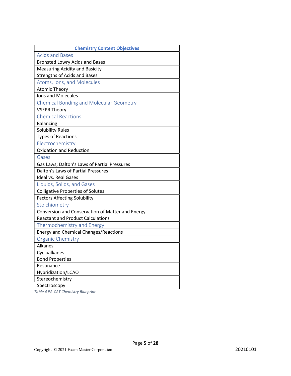| <b>Chemistry Content Objectives</b>              |
|--------------------------------------------------|
| <b>Acids and Bases</b>                           |
| <b>Bronsted Lowry Acids and Bases</b>            |
| <b>Measuring Acidity and Basicity</b>            |
| <b>Strengths of Acids and Bases</b>              |
| Atoms, Ions, and Molecules                       |
| <b>Atomic Theory</b>                             |
| Ions and Molecules                               |
| <b>Chemical Bonding and Molecular Geometry</b>   |
| <b>VSEPR Theory</b>                              |
| <b>Chemical Reactions</b>                        |
| <b>Balancing</b>                                 |
| <b>Solubility Rules</b>                          |
| <b>Types of Reactions</b>                        |
| Electrochemistry                                 |
| <b>Oxidation and Reduction</b>                   |
| Gases                                            |
| Gas Laws; Dalton's Laws of Partial Pressures     |
| Dalton's Laws of Partial Pressures               |
| <b>Ideal vs. Real Gases</b>                      |
| Liquids, Solids, and Gases                       |
| <b>Colligative Properties of Solutes</b>         |
| <b>Factors Affecting Solubility</b>              |
| Stoichiometry                                    |
| Conversion and Conservation of Matter and Energy |
| <b>Reactant and Product Calculations</b>         |
| <b>Thermochemistry and Energy</b>                |
| <b>Energy and Chemical Changes/Reactions</b>     |
| <b>Organic Chemistry</b>                         |
| Alkanes                                          |
| Cycloalkanes                                     |
| <b>Bond Properties</b>                           |
| Resonance                                        |
| Hybridization/LCAO                               |
| Stereochemistry                                  |
| Spectroscopy                                     |

Table 4 PA-CAT Chemistry Blueprint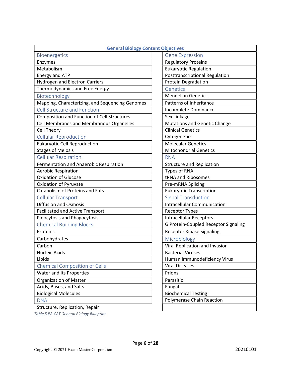| <b>General Biology Content Objectives</b>       |                                       |
|-------------------------------------------------|---------------------------------------|
| Bioenergetics                                   | <b>Gene Expression</b>                |
| Enzymes                                         | <b>Regulatory Proteins</b>            |
| Metabolism                                      | <b>Eukaryotic Regulation</b>          |
| <b>Energy and ATP</b>                           | <b>Posttranscriptional Regulation</b> |
| <b>Hydrogen and Electron Carriers</b>           | <b>Protein Degradation</b>            |
| Thermodynamics and Free Energy                  | Genetics                              |
| Biotechnology                                   | <b>Mendelian Genetics</b>             |
| Mapping, Characterizing, and Sequencing Genomes | Patterns of Inheritance               |
| <b>Cell Structure and Function</b>              | Incomplete Dominance                  |
| Composition and Function of Cell Structures     | Sex Linkage                           |
| Cell Membranes and Membranous Organelles        | <b>Mutations and Genetic Change</b>   |
| <b>Cell Theory</b>                              | <b>Clinical Genetics</b>              |
| <b>Cellular Reproduction</b>                    | Cytogenetics                          |
| <b>Eukaryotic Cell Reproduction</b>             | <b>Molecular Genetics</b>             |
| <b>Stages of Meiosis</b>                        | <b>Mitochondrial Genetics</b>         |
| <b>Cellular Respiration</b>                     | <b>RNA</b>                            |
| Fermentation and Anaerobic Respiration          | <b>Structure and Replication</b>      |
| <b>Aerobic Respiration</b>                      | <b>Types of RNA</b>                   |
| <b>Oxidation of Glucose</b>                     | tRNA and Ribosomes                    |
| <b>Oxidation of Pyruvate</b>                    | Pre-mRNA Splicing                     |
| Catabolism of Proteins and Fats                 | <b>Eukaryotic Transcription</b>       |
| <b>Cellular Transport</b>                       | <b>Signal Transduction</b>            |
| <b>Diffusion and Osmosis</b>                    | <b>Intracellular Communication</b>    |
| <b>Facilitated and Active Transport</b>         | <b>Receptor Types</b>                 |
| Pinocytosis and Phagocytosis                    | <b>Intracellular Receptors</b>        |
| <b>Chemical Building Blocks</b>                 | G Protein-Coupled Receptor Signaling  |
| Proteins                                        | <b>Receptor Kinase Signaling</b>      |
| Carbohydrates                                   | Microbiology                          |
| Carbon                                          | Viral Replication and Invasion        |
| <b>Nucleic Acids</b>                            | <b>Bacterial Viruses</b>              |
| Lipids                                          | Human Immunodeficiency Virus          |
| <b>Chemical Composition of Cells</b>            | <b>Viral Diseases</b>                 |
| Water and Its Properties                        | Prions                                |
| <b>Organization of Matter</b>                   | Parasitic                             |
| Acids, Bases, and Salts                         | Fungal                                |
| <b>Biological Molecules</b>                     | <b>Biochemical Testing</b>            |
| <b>DNA</b>                                      | <b>Polymerase Chain Reaction</b>      |
| Structure, Replication, Repair                  |                                       |

Page 6 of 28

Table 5 PA-CAT General Biology Blueprint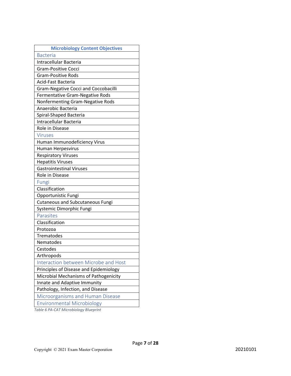| <b>Microbiology Content Objectives</b>      |
|---------------------------------------------|
| <b>Bacteria</b>                             |
| Intracellular Bacteria                      |
| <b>Gram-Positive Cocci</b>                  |
| <b>Gram-Positive Rods</b>                   |
| Acid-Fast Bacteria                          |
| <b>Gram-Negative Cocci and Coccobacilli</b> |
| Fermentative Gram-Negative Rods             |
| Nonfermenting Gram-Negative Rods            |
| Anaerobic Bacteria                          |
| Spiral-Shaped Bacteria                      |
| Intracellular Bacteria                      |
| Role in Disease                             |
| <b>Viruses</b>                              |
| Human Immunodeficiency Virus                |
| Human Herpesvirus                           |
| <b>Respiratory Viruses</b>                  |
| <b>Hepatitis Viruses</b>                    |
| <b>Gastrointestinal Viruses</b>             |
| Role in Disease                             |
| Fungi                                       |
| Classification                              |
| Opportunistic Fungi                         |
| <b>Cutaneous and Subcutaneous Fungi</b>     |
| Systemic Dimorphic Fungi                    |
| Parasites                                   |
| Classification                              |
| Protozoa                                    |
| Trematodes                                  |
| Nematodes                                   |
| Cestodes                                    |
| Arthropods                                  |
| Interaction between Microbe and Host        |
| Principles of Disease and Epidemiology      |
| Microbial Mechanisms of Pathogenicity       |
| Innate and Adaptive Immunity                |
| Pathology, Infection, and Disease           |
| Microorganisms and Human Disease            |
| <b>Environmental Microbiology</b>           |

Table 6 PA-CAT Microbiology Blueprint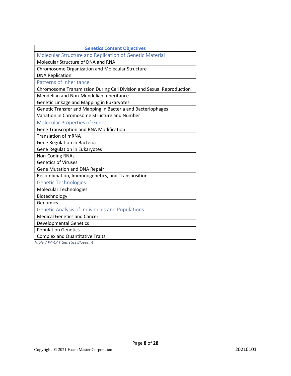| <b>Genetics Content Objectives</b>                                   |
|----------------------------------------------------------------------|
| Molecular Structure and Replication of Genetic Material              |
| Molecular Structure of DNA and RNA                                   |
| Chromosome Organization and Molecular Structure                      |
| <b>DNA Replication</b>                                               |
| Patterns of Inheritance                                              |
| Chromosome Transmission During Cell Division and Sexual Reproduction |
| Mendelian and Non-Mendelian Inheritance                              |
| Genetic Linkage and Mapping in Eukaryotes                            |
| Genetic Transfer and Mapping in Bacteria and Bacteriophages          |
| Variation in Chromosome Structure and Number                         |
| <b>Molecular Properties of Genes</b>                                 |
| Gene Transcription and RNA Modification                              |
| <b>Translation of mRNA</b>                                           |
| Gene Regulation in Bacteria                                          |
| Gene Regulation in Eukaryotes                                        |
| <b>Non-Coding RNAs</b>                                               |
| <b>Genetics of Viruses</b>                                           |
| <b>Gene Mutation and DNA Repair</b>                                  |
| Recombination, Immunogenetics, and Transposition                     |
| <b>Genetic Technologies</b>                                          |
| Molecular Technologies                                               |
| Biotechnology                                                        |
| Genomics                                                             |
| Genetic Analysis of Individuals and Populations                      |
| <b>Medical Genetics and Cancer</b>                                   |
| <b>Developmental Genetics</b>                                        |
| <b>Population Genetics</b>                                           |
| <b>Complex and Quantitative Traits</b>                               |

Table 7 PA-CAT Genetics Blueprint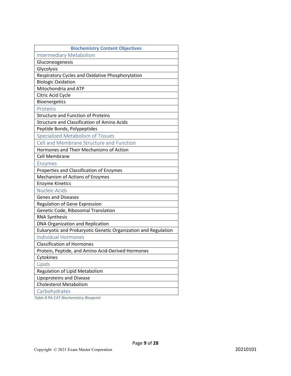| <b>Biochemistry Content Objectives</b>                         |
|----------------------------------------------------------------|
| <b>Intermediary Metabolism</b>                                 |
| Gluconeogenesis                                                |
| Glycolysis                                                     |
| Respiratory Cycles and Oxidative Phosphorylation               |
| <b>Biologic Oxidation</b>                                      |
| Mitochondria and ATP                                           |
| Citric Acid Cycle                                              |
| Bioenergetics                                                  |
| Proteins                                                       |
| <b>Structure and Function of Proteins</b>                      |
| <b>Structure and Classification of Amino Acids</b>             |
| Peptide Bonds, Polypeptides                                    |
| <b>Specialized Metabolism of Tissues</b>                       |
| Cell and Membrane Structure and Function                       |
| Hormones and Their Mechanisms of Action                        |
| <b>Cell Membrane</b>                                           |
| <b>Enzymes</b>                                                 |
| Properties and Classification of Enzymes                       |
| Mechanism of Actions of Enzymes                                |
| <b>Enzyme Kinetics</b>                                         |
| <b>Nucleic Acids</b>                                           |
| <b>Genes and Diseases</b>                                      |
| <b>Regulation of Gene Expression</b>                           |
| Genetic Code, Ribosomal Translation                            |
| <b>RNA Synthesis</b>                                           |
| DNA Organization and Replication                               |
| Eukaryotic and Prokaryotic Genetic Organization and Regulation |
| <b>Individual Hormones</b>                                     |
| <b>Classification of Hormones</b>                              |
| Protein, Peptide, and Amino Acid-Derived Hormones              |
| Cytokines                                                      |
| Lipids                                                         |
| Regulation of Lipid Metabolism                                 |
| Lipoproteins and Disease                                       |
| <b>Cholesterol Metabolism</b>                                  |
| Carbohydrates                                                  |

Page 9 of 28

Table 8 PA-CAT Biochemistry Blueprint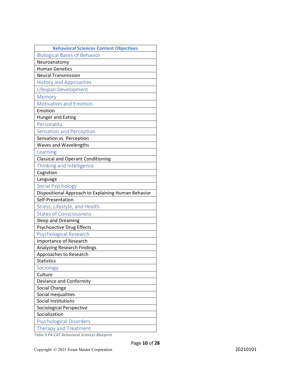| <b>Behavioral Sciences Content Objectives</b>       |
|-----------------------------------------------------|
| <b>Biological Bases of Behavior</b>                 |
| Neuroanatomy                                        |
| <b>Human Genetics</b>                               |
| <b>Neural Transmission</b>                          |
| <b>History and Approaches</b>                       |
| Lifespan Development                                |
| Memory                                              |
| <b>Motivation and Emotion</b>                       |
| Emotion                                             |
| Hunger and Eating                                   |
| Personality                                         |
| Sensation and Perception                            |
| Sensation vs. Perception                            |
| Waves and Wavelengths                               |
| Learning                                            |
| <b>Classical and Operant Conditioning</b>           |
| Thinking and Intelligence                           |
| Cognition                                           |
| Language                                            |
| Social Psychology                                   |
| Dispositional Approach to Explaining Human Behavior |
| Self-Presentation                                   |
| Stress, Lifestyle, and Health                       |
| <b>States of Consciousness</b>                      |
| Sleep and Dreaming                                  |
| Psychoactive Drug Effects                           |
| <b>Psychological Research</b>                       |
| <b>Importance of Research</b>                       |
| <b>Analyzing Research Findings</b>                  |
| Approaches to Research                              |
| <b>Statistics</b>                                   |
| Sociology                                           |
| Culture                                             |
| Deviance and Conformity                             |
| Social Change                                       |
| Social Inequalities                                 |
| Social Institutions                                 |
| Sociological Perspective                            |
| Socialization                                       |
| <b>Psychological Disorders</b>                      |
| Therapy and Treatment                               |

Table 9 PA-CAT Behavioral Sciences Blueprint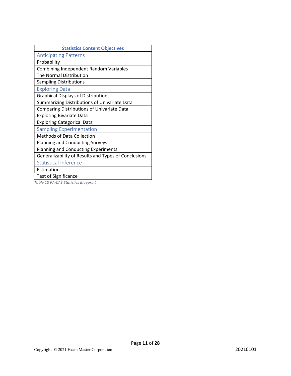| <b>Statistics Content Objectives</b>                 |
|------------------------------------------------------|
| <b>Anticipating Patterns</b>                         |
| Probability                                          |
| Combining Independent Random Variables               |
| The Normal Distribution                              |
| <b>Sampling Distributions</b>                        |
| <b>Exploring Data</b>                                |
| <b>Graphical Displays of Distributions</b>           |
| Summarizing Distributions of Univariate Data         |
| Comparing Distributions of Univariate Data           |
| <b>Exploring Bivariate Data</b>                      |
| <b>Exploring Categorical Data</b>                    |
| <b>Sampling Experimentation</b>                      |
| <b>Methods of Data Collection</b>                    |
| <b>Planning and Conducting Surveys</b>               |
| Planning and Conducting Experiments                  |
| Generalizability of Results and Types of Conclusions |
| <b>Statistical Inference</b>                         |
| Estimation                                           |
| <b>Test of Significance</b>                          |
| Table 10 PA-CAT Statistics Blueprint                 |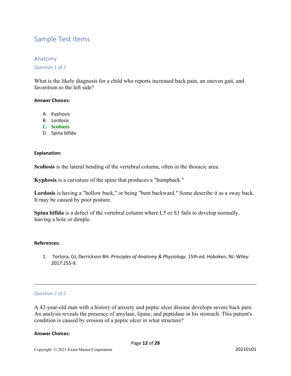# Sample Test Items

# Anatomy

Question 1 of 2

What is the likely diagnosis for a child who reports increased back pain, an uneven gait, and favoritism to the left side?

### Answer Choices:

- A. Kyphosis
- B. Lordosis
- C. Scoliosis
- D. Spina bifida

#### Explanation:

Scoliosis is the lateral bending of the vertebral column, often in the thoracic area.

Kyphosis is a curvature of the spine that produces a "humpback."

Lordosis is having a "hollow back," or being "bent backward." Some describe it as a sway back. It may be caused by poor posture.

Spina bifida is a defect of the vertebral column where L5 or S1 fails to develop normally, leaving a hole or dimple.

#### References:

1. Tortora, GJ, Derrickson BH. Principles of Anatomy & Physiology. 15th ed. Hoboken, NJ: Wiley: 2017:255-9.

#### Question 2 of 2

A 42-year-old man with a history of anxiety and peptic ulcer disease develops severe back pain. An analysis reveals the presence of amylase, lipase, and peptidase in his stomach. This patient's condition is caused by erosion of a peptic ulcer in what structure?

#### Answer Choices: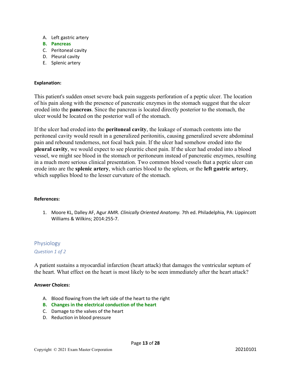- A. Left gastric artery
- B. Pancreas
- C. Peritoneal cavity
- D. Pleural cavity
- E. Splenic artery

#### Explanation:

This patient's sudden onset severe back pain suggests perforation of a peptic ulcer. The location of his pain along with the presence of pancreatic enzymes in the stomach suggest that the ulcer eroded into the pancreas. Since the pancreas is located directly posterior to the stomach, the ulcer would be located on the posterior wall of the stomach.

If the ulcer had eroded into the peritoneal cavity, the leakage of stomach contents into the peritoneal cavity would result in a generalized peritonitis, causing generalized severe abdominal pain and rebound tenderness, not focal back pain. If the ulcer had somehow eroded into the pleural cavity, we would expect to see pleuritic chest pain. If the ulcer had eroded into a blood vessel, we might see blood in the stomach or peritoneum instead of pancreatic enzymes, resulting in a much more serious clinical presentation. Two common blood vessels that a peptic ulcer can erode into are the splenic artery, which carries blood to the spleen, or the left gastric artery, which supplies blood to the lesser curvature of the stomach.

#### References:

1. Moore KL, Dalley AF, Agur AMR. Clinically Oriented Anatomy. 7th ed. Philadelphia, PA: Lippincott Williams & Wilkins; 2014:255-7.

#### Physiology

Question 1 of 2

A patient sustains a myocardial infarction (heart attack) that damages the ventricular septum of the heart. What effect on the heart is most likely to be seen immediately after the heart attack?

#### Answer Choices:

- A. Blood flowing from the left side of the heart to the right
- B. Changes in the electrical conduction of the heart
- C. Damage to the valves of the heart
- D. Reduction in blood pressure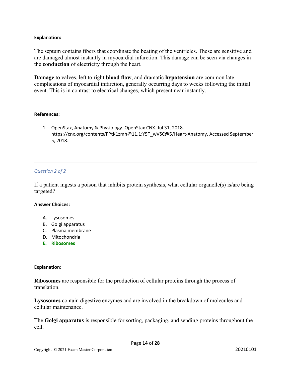#### Explanation:

The septum contains fibers that coordinate the beating of the ventricles. These are sensitive and are damaged almost instantly in myocardial infarction. This damage can be seen via changes in the conduction of electricity through the heart.

Damage to valves, left to right blood flow, and dramatic hypotension are common late complications of myocardial infarction, generally occurring days to weeks following the initial event. This is in contrast to electrical changes, which present near instantly.

#### References:

1. OpenStax, Anatomy & Physiology. OpenStax CNX. Jul 31, 2018. https://cnx.org/contents/FPtK1zmh@11.1:Y5T\_wVSC@5/Heart-Anatomy. Accessed September 5, 2018.

#### Question 2 of 2

If a patient ingests a poison that inhibits protein synthesis, what cellular organelle(s) is/are being targeted?

#### Answer Choices:

- A. Lysosomes
- B. Golgi apparatus
- C. Plasma membrane
- D. Mitochondria
- E. Ribosomes

#### Explanation:

Ribosomes are responsible for the production of cellular proteins through the process of translation.

Lysosomes contain digestive enzymes and are involved in the breakdown of molecules and cellular maintenance.

The Golgi apparatus is responsible for sorting, packaging, and sending proteins throughout the cell.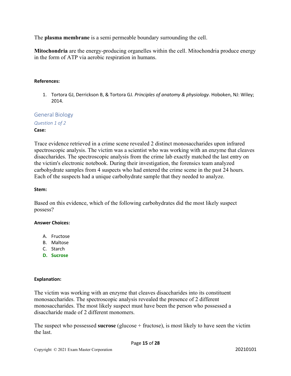The plasma membrane is a semi permeable boundary surrounding the cell.

Mitochondria are the energy-producing organelles within the cell. Mitochondria produce energy in the form of ATP via aerobic respiration in humans.

### References:

1. Tortora GJ, Derrickson B, & Tortora GJ. Principles of anatomy & physiology. Hoboken, NJ: Wiley; 2014.

General Biology

Question 1 of 2

Case:

Trace evidence retrieved in a crime scene revealed 2 distinct monosaccharides upon infrared spectroscopic analysis. The victim was a scientist who was working with an enzyme that cleaves disaccharides. The spectroscopic analysis from the crime lab exactly matched the last entry on the victim's electronic notebook. During their investigation, the forensics team analyzed carbohydrate samples from 4 suspects who had entered the crime scene in the past 24 hours. Each of the suspects had a unique carbohydrate sample that they needed to analyze.

#### Stem:

Based on this evidence, which of the following carbohydrates did the most likely suspect possess?

#### Answer Choices:

- A. Fructose
- B. Maltose
- C. Starch
- D. Sucrose

# Explanation:

The victim was working with an enzyme that cleaves disaccharides into its constituent monosaccharides. The spectroscopic analysis revealed the presence of 2 different monosaccharides. The most likely suspect must have been the person who possessed a disaccharide made of 2 different monomers.

The suspect who possessed sucrose (glucose  $+$  fructose), is most likely to have seen the victim the last.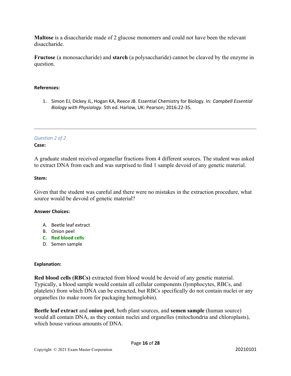Maltose is a disaccharide made of 2 glucose monomers and could not have been the relevant disaccharide.

Fructose (a monosaccharide) and starch (a polysaccharide) cannot be cleaved by the enzyme in question.

### References:

1. Simon EJ, Dickey JL, Hogan KA, Reece JB. Essential Chemistry for Biology. In: Campbell Essential Biology with Physiology. 5th ed. Harlow, UK: Pearson; 2016:22-35.

# Question 2 of 2

### Case:

A graduate student received organellar fractions from 4 different sources. The student was asked to extract DNA from each and was surprised to find 1 sample devoid of any genetic material.

#### Stem:

Given that the student was careful and there were no mistakes in the extraction procedure, what source would be devoid of genetic material?

#### Answer Choices:

- A. Beetle leaf extract
- B. Onion peel
- C. Red blood cells
- D. Semen sample

#### Explanation:

Red blood cells (RBCs) extracted from blood would be devoid of any genetic material. Typically, a blood sample would contain all cellular components (lymphocytes, RBCs, and platelets) from which DNA can be extracted, but RBCs specifically do not contain nuclei or any organelles (to make room for packaging hemoglobin).

Beetle leaf extract and onion peel, both plant sources, and semen sample (human source) would all contain DNA, as they contain nuclei and organelles (mitochondria and chloroplasts), which house various amounts of DNA.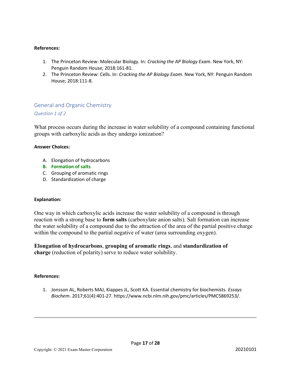#### References:

- 1. The Princeton Review: Molecular Biology. In: Cracking the AP Biology Exam. New York, NY: Penguin Random House; 2018:161-81.
- 2. The Princeton Review: Cells. In: Cracking the AP Biology Exam. New York, NY: Penguin Random House; 2018:111-8.

# General and Organic Chemistry

### Question 1 of 2

What process occurs during the increase in water solubility of a compound containing functional groups with carboxylic acids as they undergo ionization?

#### Answer Choices:

- A. Elongation of hydrocarbons
- B. Formation of salts
- C. Grouping of aromatic rings
- D. Standardization of charge

#### Explanation:

One way in which carboxylic acids increase the water solubility of a compound is through reaction with a strong base to **form salts** (carboxylate anion salts). Salt formation can increase the water solubility of a compound due to the attraction of the area of the partial positive charge within the compound to the partial negative of water (area surrounding oxygen).

### Elongation of hydrocarbons, grouping of aromatic rings, and standardization of charge (reduction of polarity) serve to reduce water solubility.

#### References:

1. Jonsson AL, Roberts MAJ, Kiappes JL, Scott KA. Essential chemistry for biochemists. Essays Biochem. 2017;61(4):401-27. https://www.ncbi.nlm.nih.gov/pmc/articles/PMC5869253/.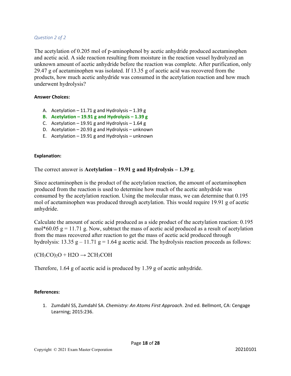#### Question 2 of 2

The acetylation of 0.205 mol of p-aminophenol by acetic anhydride produced acetaminophen and acetic acid. A side reaction resulting from moisture in the reaction vessel hydrolyzed an unknown amount of acetic anhydride before the reaction was complete. After purification, only 29.47 g of acetaminophen was isolated. If 13.35 g of acetic acid was recovered from the products, how much acetic anhydride was consumed in the acetylation reaction and how much underwent hydrolysis?

#### Answer Choices:

- A. Acetylation  $-11.71$  g and Hydrolysis  $-1.39$  g
- B. Acetylation  $-19.91$  g and Hydrolysis  $-1.39$  g
- C. Acetylation  $-19.91$  g and Hydrolysis  $-1.64$  g
- D. Acetylation 20.93 g and Hydrolysis unknown
- E. Acetylation  $-19.91$  g and Hydrolysis unknown

#### Explanation:

The correct answer is Acetylation  $-19.91$  g and Hydrolysis  $-1.39$  g.

Since acetaminophen is the product of the acetylation reaction, the amount of acetaminophen produced from the reaction is used to determine how much of the acetic anhydride was consumed by the acetylation reaction. Using the molecular mass, we can determine that 0.195 mol of acetaminophen was produced through acetylation. This would require 19.91 g of acetic anhydride.

Calculate the amount of acetic acid produced as a side product of the acetylation reaction: 0.195 mol\*60.05  $g = 11.71$  g. Now, subtract the mass of acetic acid produced as a result of acetylation from the mass recovered after reaction to get the mass of acetic acid produced through hydrolysis: 13.35 g – 11.71 g = 1.64 g acetic acid. The hydrolysis reaction proceeds as follows:

 $(CH<sub>3</sub>CO)<sub>2</sub>O + H2O \rightarrow 2CH<sub>3</sub>COH$ 

Therefore, 1.64 g of acetic acid is produced by 1.39 g of acetic anhydride.

#### References:

1. Zumdahl SS, Zumdahl SA. Chemistry: An Atoms First Approach. 2nd ed. Bellmont, CA: Cengage Learning; 2015:236.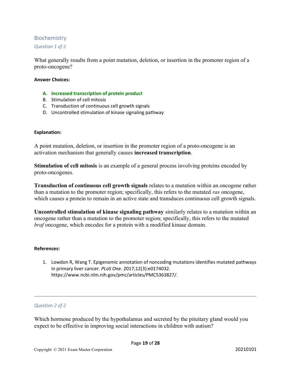# Biochemistry

Question 1 of 2

What generally results from a point mutation, deletion, or insertion in the promoter region of a proto-oncogene?

#### Answer Choices:

- A. Increased transcription of protein product
- B. Stimulation of cell mitosis
- C. Transduction of continuous cell growth signals
- D. Uncontrolled stimulation of kinase signaling pathway

#### Explanation:

A point mutation, deletion, or insertion in the promoter region of a proto-oncogene is an activation mechanism that generally causes increased transcription.

Stimulation of cell mitosis is an example of a general process involving proteins encoded by proto-oncogenes.

Transduction of continuous cell growth signals relates to a mutation within an oncogene rather than a mutation to the promoter region; specifically, this refers to the mutated ras oncogene, which causes a protein to remain in an active state and transduces continuous cell growth signals.

Uncontrolled stimulation of kinase signaling pathway similarly relates to a mutation within an oncogene rather than a mutation to the promoter region; specifically, this refers to the mutated braf oncogene, which encodes for a protein with a modified kinase domain.

#### References:

1. Lowdon R, Wang T. Epigenomic annotation of noncoding mutations identifies mutated pathways in primary liver cancer. PLoS One. 2017;12(3):e0174032. https://www.ncbi.nlm.nih.gov/pmc/articles/PMC5363827/.

#### Question 2 of 2

Which hormone produced by the hypothalamus and secreted by the pituitary gland would you expect to be effective in improving social interactions in children with autism?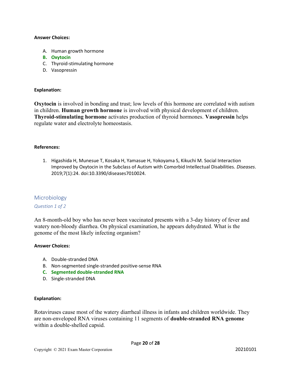#### Answer Choices:

- A. Human growth hormone
- B. Oxytocin
- C. Thyroid-stimulating hormone
- D. Vasopressin

#### Explanation:

Oxytocin is involved in bonding and trust; low levels of this hormone are correlated with autism in children. Human growth hormone is involved with physical development of children. Thyroid-stimulating hormone activates production of thyroid hormones. Vasopressin helps regulate water and electrolyte homeostasis.

#### References:

1. Higashida H, Munesue T, Kosaka H, Yamasue H, Yokoyama S, Kikuchi M. Social Interaction Improved by Oxytocin in the Subclass of Autism with Comorbid Intellectual Disabilities. Diseases. 2019;7(1):24. doi:10.3390/diseases7010024.

#### Microbiology

#### Question 1 of 2

An 8-month-old boy who has never been vaccinated presents with a 3-day history of fever and watery non-bloody diarrhea. On physical examination, he appears dehydrated. What is the genome of the most likely infecting organism?

#### Answer Choices:

- A. Double-stranded DNA
- B. Non-segmented single-stranded positive-sense RNA
- C. Segmented double-stranded RNA
- D. Single-stranded DNA

#### Explanation:

Rotaviruses cause most of the watery diarrheal illness in infants and children worldwide. They are non-enveloped RNA viruses containing 11 segments of double-stranded RNA genome within a double-shelled capsid.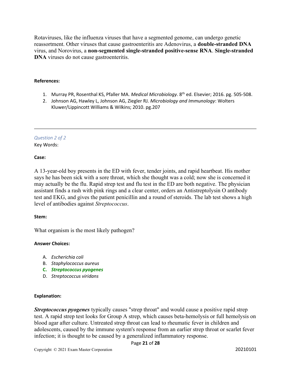Rotaviruses, like the influenza viruses that have a segmented genome, can undergo genetic reassortment. Other viruses that cause gastroenteritis are Adenovirus, a double-stranded DNA virus, and Norovirus, a non-segmented single-stranded positive-sense RNA. Single-stranded DNA viruses do not cause gastroenteritis.

#### References:

- 1. Murray PR, Rosenthal KS, Pfaller MA. Medical Microbiology. 8<sup>th</sup> ed. Elsevier; 2016. pg. 505-508.
- 2. Johnson AG, Hawley L, Johnson AG, Ziegler RJ. Microbiology and Immunology: Wolters Kluwer/Lippincott Williams & Wilkins; 2010. pg.207

# Question 2 of 2

Key Words:

#### Case:

A 13-year-old boy presents in the ED with fever, tender joints, and rapid heartbeat. His mother says he has been sick with a sore throat, which she thought was a cold; now she is concerned it may actually be the flu. Rapid strep test and flu test in the ED are both negative. The physician assistant finds a rash with pink rings and a clear center, orders an Antistreptolysin O antibody test and EKG, and gives the patient penicillin and a round of steroids. The lab test shows a high level of antibodies against Streptococcus.

#### Stem:

What organism is the most likely pathogen?

#### Answer Choices:

- A. Escherichia coli
- B. Staphylococcus aureus
- C. Streptococcus pyogenes
- D. Streptococcus viridans

#### Explanation:

**Streptococcus pyogenes** typically causes "strep throat" and would cause a positive rapid strep test. A rapid strep test looks for Group A strep, which causes beta-hemolysis or full hemolysis on blood agar after culture. Untreated strep throat can lead to rheumatic fever in children and adolescents, caused by the immune system's response from an earlier strep throat or scarlet fever infection; it is thought to be caused by a generalized inflammatory response.

#### Page 21 of 28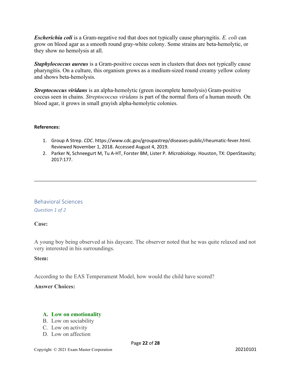**Escherichia coli** is a Gram-negative rod that does not typically cause pharyngitis. E. coli can grow on blood agar as a smooth round gray-white colony. Some strains are beta-hemolytic, or they show no hemolysis at all.

**Staphylococcus aureus** is a Gram-positive coccus seen in clusters that does not typically cause pharyngitis. On a culture, this organism grows as a medium-sized round creamy yellow colony and shows beta-hemolysis.

Streptococcus viridans is an alpha-hemolytic (green incomplete hemolysis) Gram-positive coccus seen in chains. Streptococcus viridans is part of the normal flora of a human mouth. On blood agar, it grows in small grayish alpha-hemolytic colonies.

### References:

- 1. Group A Strep. CDC. https://www.cdc.gov/groupastrep/diseases-public/rheumatic-fever.html. Reviewed November 1, 2018. Accessed August 4, 2019.
- 2. Parker N, Schneegurt M, Tu A-HT, Forster BM, Lister P. Microbiology. Houston, TX: OpenStaxsity; 2017:177.

# Behavioral Sciences Question 1 of 2

# Case:

A young boy being observed at his daycare. The observer noted that he was quite relaxed and not very interested in his surroundings.

# Stem:

According to the EAS Temperament Model, how would the child have scored?

# Answer Choices:

# A. Low on emotionality

- B. Low on sociability
- C. Low on activity
- D. Low on affection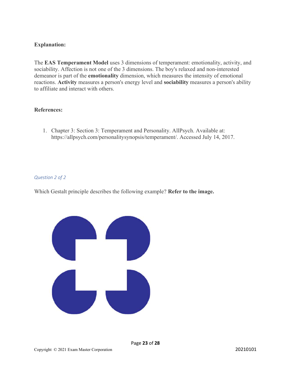# Explanation:

The EAS Temperament Model uses 3 dimensions of temperament: emotionality, activity, and sociability. Affection is not one of the 3 dimensions. The boy's relaxed and non-interested demeanor is part of the emotionality dimension, which measures the intensity of emotional reactions. Activity measures a person's energy level and sociability measures a person's ability to affiliate and interact with others.

# References:

1. Chapter 3: Section 3: Temperament and Personality. AllPsych. Available at: https://allpsych.com/personalitysynopsis/temperament/. Accessed July 14, 2017.

Page 23 of 28

# Question 2 of 2

Which Gestalt principle describes the following example? Refer to the image.

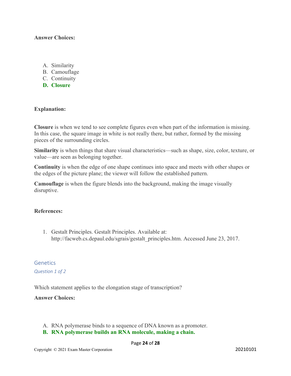# Answer Choices:

- A. Similarity
- B. Camouflage
- C. Continuity
- D. Closure

# Explanation:

Closure is when we tend to see complete figures even when part of the information is missing. In this case, the square image in white is not really there, but rather, formed by the missing pieces of the surrounding circles.

Similarity is when things that share visual characteristics—such as shape, size, color, texture, or value—are seen as belonging together.

Continuity is when the edge of one shape continues into space and meets with other shapes or the edges of the picture plane; the viewer will follow the established pattern.

Camouflage is when the figure blends into the background, making the image visually disruptive.

# References:

1. Gestalt Principles. Gestalt Principles. Available at: http://facweb.cs.depaul.edu/sgrais/gestalt\_principles.htm. Accessed June 23, 2017.

Genetics Question 1 of 2

Which statement applies to the elongation stage of transcription?

# Answer Choices:

- A. RNA polymerase binds to a sequence of DNA known as a promoter.
- B. RNA polymerase builds an RNA molecule, making a chain.

#### Page 24 of 28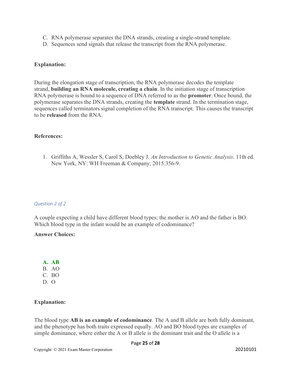- C. RNA polymerase separates the DNA strands, creating a single-strand template.
- D. Sequences send signals that release the transcript from the RNA polymerase.

# Explanation:

During the elongation stage of transcription, the RNA polymerase decodes the template strand, building an RNA molecule, creating a chain. In the initiation stage of transcription RNA polymerase is bound to a sequence of DNA referred to as the promoter. Once bound, the polymerase separates the DNA strands, creating the template strand. In the termination stage, sequences called terminators signal completion of the RNA transcript. This causes the transcript to be released from the RNA.

# References:

1. Griffiths A, Wessler S, Carol S, Doebley J. An Introduction to Genetic Analysis. 11th ed. New York, NY: WH Freeman & Company; 2015:356-9.

#### Question 2 of 2

A couple expecting a child have different blood types; the mother is AO and the father is BO. Which blood type in the infant would be an example of codominance?

# Answer Choices:

A. AB B. AO

- C. BO
- $D. O$

# Explanation:

The blood type **AB** is an example of codominance. The A and B allele are both fully dominant, and the phenotype has both traits expressed equally. AO and BO blood types are examples of simple dominance, where either the A or B allele is the dominant trait and the O allele is a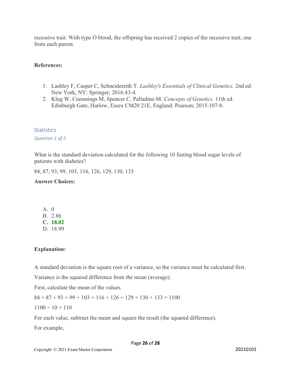recessive trait. With type O blood, the offspring has received 2 copies of the recessive trait, one from each parent.

# References:

- 1. Lashley F, Casper C, Schneidereith T. Lashley's Essentials of Clinical Genetics. 2nd ed. New York, NY: Springer; 2016:43-4.
- 2. Klug W, Cummings M, Spencer C, Palladino M. Concepts of Genetics. 11th ed. Edinburgh Gate, Harlow, Essex CM20 21E, England: Pearson; 2015:107-8.

# **Statistics**

Question 1 of 2

What is the standard deviation calculated for the following 10 fasting blood sugar levels of patients with diabetes?

84, 87, 93, 99, 103, 116, 126, 129, 130, 133

# Answer Choices:

| A. | $\left( \right)$ |
|----|------------------|
|    | B. 2.86          |
|    | C. 18.02         |
|    | D. 18.99         |

# Explanation:

A standard deviation is the square root of a variance, so the variance must be calculated first.

Variance is the squared difference from the mean (average).

First, calculate the mean of the values.

 $84 + 87 + 93 + 99 + 103 + 116 + 126 + 129 + 130 + 133 = 1100$ 

 $1100 \div 10 = 110$ 

For each value, subtract the mean and square the result (the squared difference).

For example,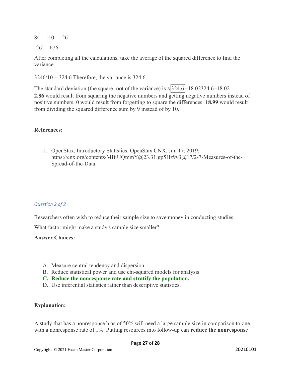$84 - 110 = -26$ 

 $-26^2 = 676$ 

After completing all the calculations, take the average of the squared difference to find the variance.

 $3246/10 = 324.6$  Therefore, the variance is 324.6.

The standard deviation (the square root of the variance) is  $\sqrt{324.6}$  = 18.02324.6=18.02 2.86 would result from squaring the negative numbers and getting negative numbers instead of positive numbers. 0 would result from forgetting to square the differences. 18.99 would result from dividing the squared difference sum by 9 instead of by 10.

# References:

1. OpenStax, Introductory Statistics. OpenStax CNX. Jun 17, 2019. https://cnx.org/contents/MBiUQmmY@23.31:gp5Hz9v3@17/2-7-Measures-of-the-Spread-of-the-Data.

# Question 2 of 2

Researchers often wish to reduce their sample size to save money in conducting studies.

What factor might make a study's sample size smaller?

# Answer Choices:

- A. Measure central tendency and dispersion.
- B. Reduce statistical power and use chi-squared models for analysis.
- C. Reduce the nonresponse rate and stratify the population.
- D. Use inferential statistics rather than descriptive statistics.

# Explanation:

A study that has a nonresponse bias of 50% will need a large sample size in comparison to one with a nonresponse rate of 1%. Putting resources into follow-up can **reduce the nonresponse**